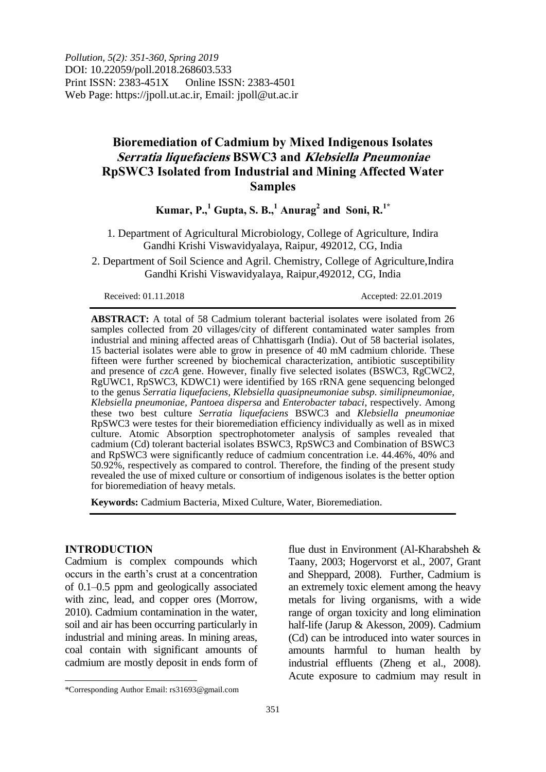*Pollution, 5(2): 351-360, Spring 2019* DOI: 10.22059/poll.2018.268603.533 Print ISSN: 2383-451X Online ISSN: 2383-4501 Web Page: https://jpoll.ut.ac.ir, Email: jpoll@ut.ac.ir

# **Bioremediation of Cadmium by Mixed Indigenous Isolates Serratia liquefaciens BSWC3 and Klebsiella Pneumoniae RpSWC3 Isolated from Industrial and Mining Affected Water Samples**

 $K$ umar,  $P., 1^1$  Gupta, S. B.,  $1^1$  Anurag<sup>2</sup> and Soni, R.  $1^*$ 

1. Department of Agricultural Microbiology, College of Agriculture, Indira Gandhi Krishi Viswavidyalaya, Raipur, 492012, CG, India

2. Department of Soil Science and Agril. Chemistry, College of Agriculture,Indira Gandhi Krishi Viswavidyalaya, Raipur,492012, CG, India

Received: 01.11.2018 Accepted: 22.01.2019

**ABSTRACT:** A total of 58 Cadmium tolerant bacterial isolates were isolated from 26 samples collected from 20 villages/city of different contaminated water samples from industrial and mining affected areas of Chhattisgarh (India). Out of 58 bacterial isolates, 15 bacterial isolates were able to grow in presence of 40 mM cadmium chloride. These fifteen were further screened by biochemical characterization, antibiotic susceptibility and presence of *czcA* gene. However, finally five selected isolates (BSWC3, RgCWC2, RgUWC1, RpSWC3, KDWC1) were identified by 16S rRNA gene sequencing belonged to the genus *Serratia liquefaciens, Klebsiella quasipneumoniae subsp. similipneumoniae, Klebsiella pneumoniae, Pantoea dispersa* and *Enterobacter tabaci*, respectively. Among these two best culture *Serratia liquefaciens* BSWC3 and *Klebsiella pneumoniae* RpSWC3 were testes for their bioremediation efficiency individually as well as in mixed culture. Atomic Absorption spectrophotometer analysis of samples revealed that cadmium (Cd) tolerant bacterial isolates BSWC3, RpSWC3 and Combination of BSWC3 and RpSWC3 were significantly reduce of cadmium concentration i.e. 44.46%, 40% and 50.92%, respectively as compared to control. Therefore, the finding of the present study revealed the use of mixed culture or consortium of indigenous isolates is the better option for bioremediation of heavy metals.

**Keywords:** Cadmium Bacteria, Mixed Culture, Water, Bioremediation.

## **INTRODUCTION**

 $\overline{\phantom{a}}$ 

Cadmium is complex compounds which occurs in the earth"s crust at a concentration of 0.1–0.5 ppm and geologically associated with zinc, lead, and copper ores (Morrow, 2010). Cadmium contamination in the water, soil and air has been occurring particularly in industrial and mining areas. In mining areas, coal contain with significant amounts of cadmium are mostly deposit in ends form of

flue dust in Environment (Al-Kharabsheh & Taany, 2003; Hogervorst et al., 2007, Grant and Sheppard, 2008). Further, Cadmium is an extremely toxic element among the heavy metals for living organisms, with a wide range of organ toxicity and long elimination half-life (Jarup & Akesson, 2009). Cadmium (Cd) can be introduced into water sources in amounts harmful to human health by industrial effluents (Zheng et al., 2008). Acute exposure to cadmium may result in

<sup>\*</sup>Corresponding Author Email: rs31693@gmail.com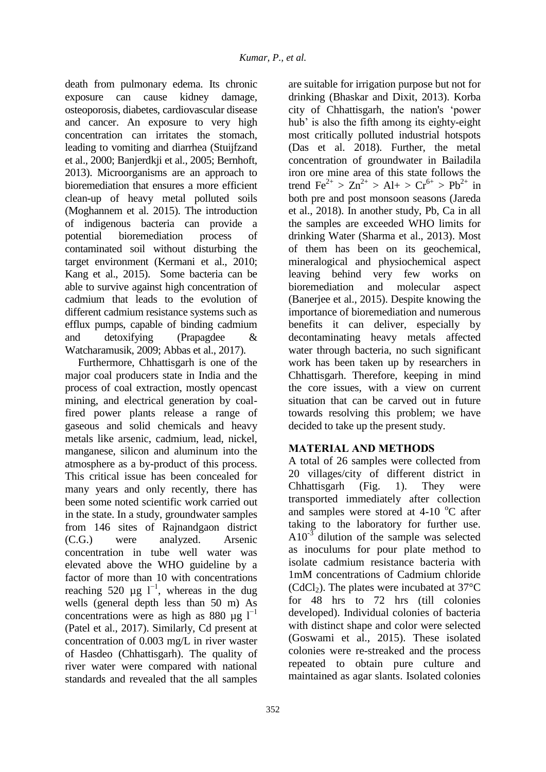death from pulmonary edema. Its chronic exposure can cause kidney damage, osteoporosis, diabetes, cardiovascular disease and cancer. An exposure to very high concentration can irritates the stomach, leading to vomiting and diarrhea (Stuijfzand et al., 2000; Banjerdkji et al., 2005; Bernhoft, 2013). Microorganisms are an approach to bioremediation that ensures a more efficient clean-up of heavy metal polluted soils (Moghannem et al. 2015). The introduction of indigenous bacteria can provide a potential bioremediation process of contaminated soil without disturbing the target environment (Kermani et al., 2010; Kang et al., 2015). Some bacteria can be able to survive against high concentration of cadmium that leads to the evolution of different cadmium resistance systems such as efflux pumps, capable of binding cadmium and detoxifying (Prapagdee & Watcharamusik, 2009; Abbas et al., 2017).

Furthermore, Chhattisgarh is one of the major coal producers state in India and the process of coal extraction, mostly opencast mining, and electrical generation by coalfired power plants release a range of gaseous and solid chemicals and heavy metals like arsenic, cadmium, lead, nickel, manganese, silicon and aluminum into the atmosphere as a by-product of this process. This critical issue has been concealed for many years and only recently, there has been some noted scientific work carried out in the state. In a study, groundwater samples from 146 sites of Rajnandgaon district (C.G.) were analyzed. Arsenic concentration in tube well water was elevated above the WHO guideline by a factor of more than 10 with concentrations reaching 520 µg  $l^{-1}$ , whereas in the dug wells (general depth less than 50 m) As concentrations were as high as 880 µg  $l^{-1}$ (Patel et al., 2017). Similarly, Cd present at concentration of 0.003 mg/L in river waster of Hasdeo (Chhattisgarh). The quality of river water were compared with national standards and revealed that the all samples

taking to the laboratory for further use.  $A10^{-3}$  dilution of the sample was selected as inoculums for pour plate method to isolate cadmium resistance bacteria with 1mM concentrations of Cadmium chloride  $(CdCl<sub>2</sub>)$ . The plates were incubated at 37 $^{\circ}$ C for 48 hrs to 72 hrs (till colonies developed). Individual colonies of bacteria with distinct shape and color were selected (Goswami et al., 2015). These isolated colonies were re-streaked and the process

drinking (Bhaskar and Dixit, 2013). Korba city of Chhattisgarh, the nation's "power hub' is also the fifth among its eighty-eight most critically polluted industrial hotspots (Das et al. 2018). Further, the metal concentration of groundwater in Bailadila iron ore mine area of this state follows the trend  $\text{Fe}^{2+} > \text{Zn}^{2+} > \text{Al} + > \text{Cr}^{6+} > \text{Pb}^{2+}$  in both pre and post monsoon seasons (Jareda et al., 2018). In another study, Pb, Ca in all the samples are exceeded WHO limits for drinking Water (Sharma et al., 2013). Most of them has been on its geochemical, mineralogical and physiochemical aspect leaving behind very few works on bioremediation and molecular aspect (Banerjee et al., 2015). Despite knowing the importance of bioremediation and numerous benefits it can deliver, especially by decontaminating heavy metals affected water through bacteria, no such significant work has been taken up by researchers in Chhattisgarh. Therefore, keeping in mind the core issues, with a view on current situation that can be carved out in future towards resolving this problem; we have decided to take up the present study.

are suitable for irrigation purpose but not for

# **MATERIAL AND METHODS**

A total of 26 samples were collected from 20 villages/city of different district in Chhattisgarh (Fig. 1). They were transported immediately after collection and samples were stored at  $4\n-10$  °C after

repeated to obtain pure culture and maintained as agar slants. Isolated colonies

352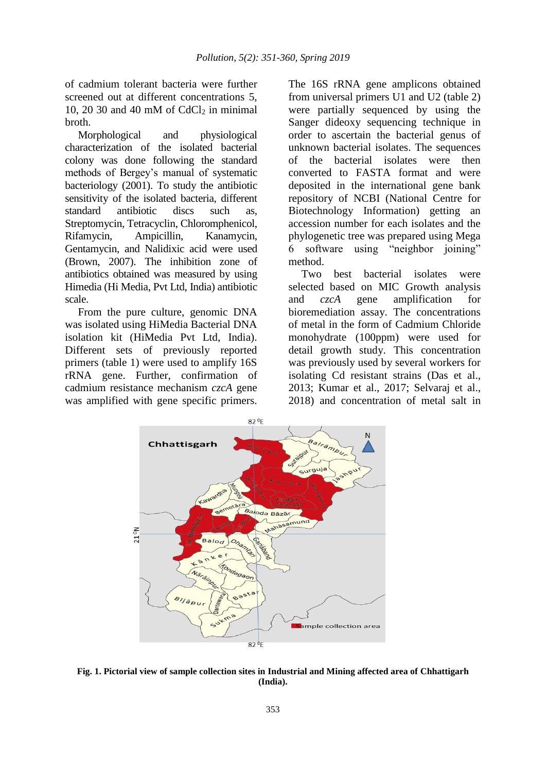of cadmium tolerant bacteria were further screened out at different concentrations 5, 10, 20 30 and 40 mM of  $CdCl<sub>2</sub>$  in minimal broth.

Morphological and physiological characterization of the isolated bacterial colony was done following the standard methods of Bergey"s manual of systematic bacteriology (2001). To study the antibiotic sensitivity of the isolated bacteria, different standard antibiotic discs such as, Streptomycin, Tetracyclin, Chloromphenicol, Rifamycin, Ampicillin, Kanamycin, Gentamycin, and Nalidixic acid were used (Brown, 2007). The inhibition zone of antibiotics obtained was measured by using Himedia (Hi Media, Pvt Ltd, India) antibiotic scale.

From the pure culture, genomic DNA was isolated using HiMedia Bacterial DNA isolation kit (HiMedia Pvt Ltd, India). Different sets of previously reported primers (table 1) were used to amplify 16S rRNA gene. Further, confirmation of cadmium resistance mechanism *czcA* gene was amplified with gene specific primers.

The 16S rRNA gene amplicons obtained from universal primers U1 and U2 (table 2) were partially sequenced by using the Sanger dideoxy sequencing technique in order to ascertain the bacterial genus of unknown bacterial isolates. The sequences of the bacterial isolates were then converted to FASTA format and were deposited in the international gene bank repository of NCBI (National Centre for Biotechnology Information) getting an accession number for each isolates and the phylogenetic tree was prepared using Mega 6 software using "neighbor joining" method.

Two best bacterial isolates were selected based on MIC Growth analysis and *czcA* gene amplification for bioremediation assay. The concentrations of metal in the form of Cadmium Chloride monohydrate (100ppm) were used for detail growth study. This concentration was previously used by several workers for isolating Cd resistant strains (Das et al., 2013; Kumar et al., 2017; Selvaraj et al., 2018) and concentration of metal salt in



**Fig. 1. Pictorial view of sample collection sites in Industrial and Mining affected area of Chhattigarh (India).**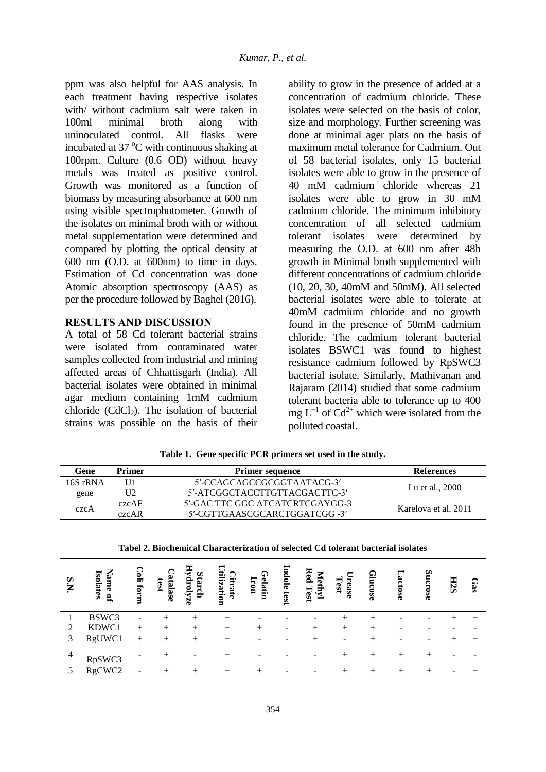ppm was also helpful for AAS analysis. In each treatment having respective isolates with/ without cadmium salt were taken in 100ml minimal broth along with uninoculated control. All flasks were incubated at  $37^{\circ}$ C with continuous shaking at 100rpm. Culture (0.6 OD) without heavy metals was treated as positive control. Growth was monitored as a function of biomass by measuring absorbance at 600 nm using visible spectrophotometer. Growth of the isolates on minimal broth with or without metal supplementation were determined and compared by plotting the optical density at 600 nm (O.D. at 600nm) to time in days. Estimation of Cd concentration was done Atomic absorption spectroscopy (AAS) as per the procedure followed by Baghel (2016).

## **RESULTS AND DISCUSSION**

A total of 58 Cd tolerant bacterial strains were isolated from contaminated water samples collected from industrial and mining affected areas of Chhattisgarh (India). All bacterial isolates were obtained in minimal agar medium containing 1mM cadmium chloride  $(CdCl<sub>2</sub>)$ . The isolation of bacterial strains was possible on the basis of their

ability to grow in the presence of added at a concentration of cadmium chloride. These isolates were selected on the basis of color, size and morphology. Further screening was done at minimal ager plats on the basis of maximum metal tolerance for Cadmium. Out of 58 bacterial isolates, only 15 bacterial isolates were able to grow in the presence of 40 mM cadmium chloride whereas 21 isolates were able to grow in 30 mM cadmium chloride. The minimum inhibitory concentration of all selected cadmium tolerant isolates were determined by measuring the O.D. at 600 nm after 48h growth in Minimal broth supplemented with different concentrations of cadmium chloride (10, 20, 30, 40mM and 50mM). All selected bacterial isolates were able to tolerate at 40mM cadmium chloride and no growth found in the presence of 50mM cadmium chloride. The cadmium tolerant bacterial isolates BSWC1 was found to highest resistance cadmium followed by RpSWC3 bacterial isolate. Similarly, Mathivanan and Rajaram (2014) studied that some cadmium tolerant bacteria able to tolerance up to 400 mg  $L^{-1}$  of Cd<sup>2+</sup> which were isolated from the polluted coastal.

| Gene     | Primer | <b>Primer sequence</b>          | <b>References</b>    |
|----------|--------|---------------------------------|----------------------|
| 16S rRNA |        | 5'-CCAGCAGCCGCGGTAATACG-3'      |                      |
| gene     | U2     | 5'-ATCGGCTACCTTGTTACGACTTC-3'   | Lu et al., 2000      |
| czcA     | czcAF  | 5'-GAC TTC GGC ATCATCRTCGAYGG-3 | Karelova et al. 2011 |
|          | czcAR  | 5'-CGTTGAASCGCARCTGGATCGG-3'    |                      |

**Table 1. Gene specific PCR primers set used in the study.**

| Tabel 2. Biochemical Characterization of selected Cd tolerant bacterial isolates |
|----------------------------------------------------------------------------------|
|                                                                                  |

| S.N            | <b>Name</b><br><b>Isolates</b><br>$\mathbf{g}$ | $\mathbb{C}$ oli<br>form | Catalase<br>test | Hydrolyze<br><b>Starch</b> | tilization<br>Citrate | Gelatin<br>Iron | Indole<br>test | Red<br>⋝<br><b>Tethy</b><br>Test | rease<br>Test | Glucose | Lactose | Sucrose | H <sub>2</sub> S | Gas    |
|----------------|------------------------------------------------|--------------------------|------------------|----------------------------|-----------------------|-----------------|----------------|----------------------------------|---------------|---------|---------|---------|------------------|--------|
|                | BSWC3                                          |                          |                  |                            |                       |                 |                |                                  |               |         |         |         |                  |        |
| 2              | KDWC1                                          | $^{+}$                   | $^{+}$           | $^{+}$                     | $^{+}$                | $^+$            |                |                                  | $^+$          | ┿       |         |         |                  |        |
| 3              | RgUWC1                                         | $+$                      | $^{+}$           | $^{+}$                     | $^{+}$                |                 |                |                                  |               | +       |         | -       |                  | $^{+}$ |
| $\overline{4}$ | RpSWC3                                         |                          | $^+$             |                            | ┿                     |                 |                |                                  | $^+$          |         | $^{+}$  |         |                  |        |
|                | RgCWC2                                         |                          | $+$              | $^{+}$                     | $+$                   |                 |                | $\overline{\phantom{0}}$         | $^{+}$        |         |         |         |                  |        |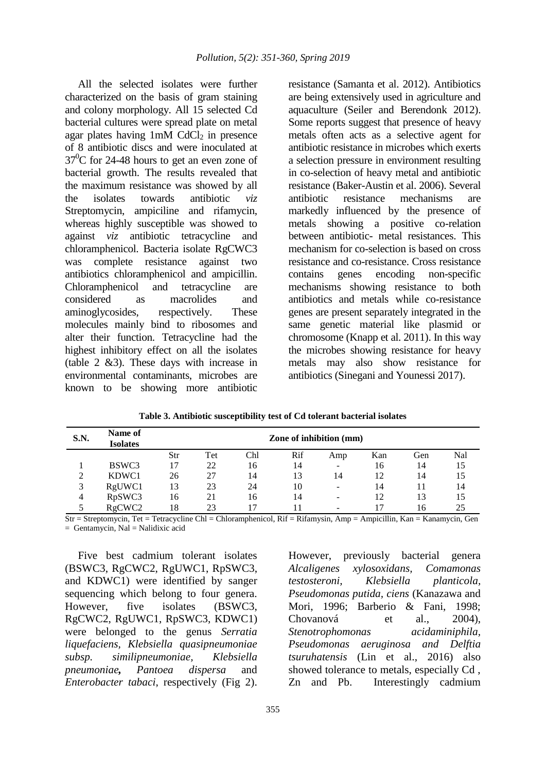All the selected isolates were further characterized on the basis of gram staining and colony morphology. All 15 selected Cd bacterial cultures were spread plate on metal agar plates having  $1 \text{m}$ M CdCl<sub>2</sub> in presence of 8 antibiotic discs and were inoculated at  $37^{\circ}$ C for 24-48 hours to get an even zone of bacterial growth. The results revealed that the maximum resistance was showed by all the isolates towards antibiotic *viz* Streptomycin, ampiciline and rifamycin, whereas highly susceptible was showed to against *viz* antibiotic tetracycline and chloramphenicol. Bacteria isolate RgCWC3 was complete resistance against two antibiotics chloramphenicol and ampicillin. Chloramphenicol and tetracycline are considered as macrolides and aminoglycosides, respectively. These molecules mainly bind to ribosomes and alter their function. Tetracycline had the highest inhibitory effect on all the isolates (table 2 &3). These days with increase in environmental contaminants, microbes are known to be showing more antibiotic

resistance (Samanta et al. 2012). Antibiotics are being extensively used in agriculture and aquaculture (Seiler and Berendonk 2012). Some reports suggest that presence of heavy metals often acts as a selective agent for antibiotic resistance in microbes which exerts a selection pressure in environment resulting in co-selection of heavy metal and antibiotic resistance (Baker-Austin et al. 2006). Several antibiotic resistance mechanisms are markedly influenced by the presence of metals showing a positive co-relation between antibiotic- metal resistances. This mechanism for co-selection is based on cross resistance and co-resistance. Cross resistance contains genes encoding non-specific mechanisms showing resistance to both antibiotics and metals while co-resistance genes are present separately integrated in the same genetic material like plasmid or chromosome (Knapp et al. 2011). In this way the microbes showing resistance for heavy metals may also show resistance for antibiotics (Sinegani and Younessi 2017).

| <b>S.N.</b> | Name of<br><b>Isolates</b> | Zone of inhibition (mm) |     |     |     |                              |     |     |     |  |  |  |
|-------------|----------------------------|-------------------------|-----|-----|-----|------------------------------|-----|-----|-----|--|--|--|
|             |                            | Str                     | Tet | Chl | Rif | Amp                          | Kan | Gen | Nal |  |  |  |
|             | BSWC3                      |                         | 22  | 16  | 14  | $\qquad \qquad \blacksquare$ | 16  | 14  | 15  |  |  |  |
| ∍           | KDWC1                      | 26                      | 27  | 14  | 13  | 14                           | 12  | 14  | 15  |  |  |  |
| 3           | RgUWC1                     | 13                      | 23  | 24  | 10  | -                            | 14  |     | 14  |  |  |  |
| 4           | RpSWC3                     | 16                      | 21  | 16  | 14  | $\overline{\phantom{0}}$     | 12  | 13  | 15  |  |  |  |
|             | RgCWC <sub>2</sub>         | 18                      | 23  |     |     | -                            |     | 16  | 25  |  |  |  |

**Table 3. Antibiotic susceptibility test of Cd tolerant bacterial isolates**

Str = Streptomycin, Tet = Tetracycline Chl = Chloramphenicol, Rif = Rifamysin, Amp = Ampicillin, Kan = Kanamycin, Gen  $=$  Gentamycin, Nal  $=$  Nalidixic acid

Five best cadmium tolerant isolates (BSWC3, RgCWC2, RgUWC1, RpSWC3, and KDWC1) were identified by sanger sequencing which belong to four genera. However, five isolates (BSWC3, RgCWC2, RgUWC1, RpSWC3, KDWC1) were belonged to the genus *Serratia liquefaciens, Klebsiella quasipneumoniae subsp. similipneumoniae, Klebsiella pneumoniae, Pantoea dispersa* and *Enterobacter tabaci*, respectively (Fig 2).

However, previously bacterial genera *Alcaligenes xylosoxidans, Comamonas testosteroni, Klebsiella planticola, Pseudomonas putida, ciens* (Kanazawa and Mori, 1996; Barberio & Fani, 1998; Chovanová et al., 2004), *Stenotrophomonas acidaminiphila, Pseudomonas aeruginosa and Delftia tsuruhatensis* (Lin et al., 2016) also showed tolerance to metals, especially Cd , Zn and Pb. Interestingly cadmium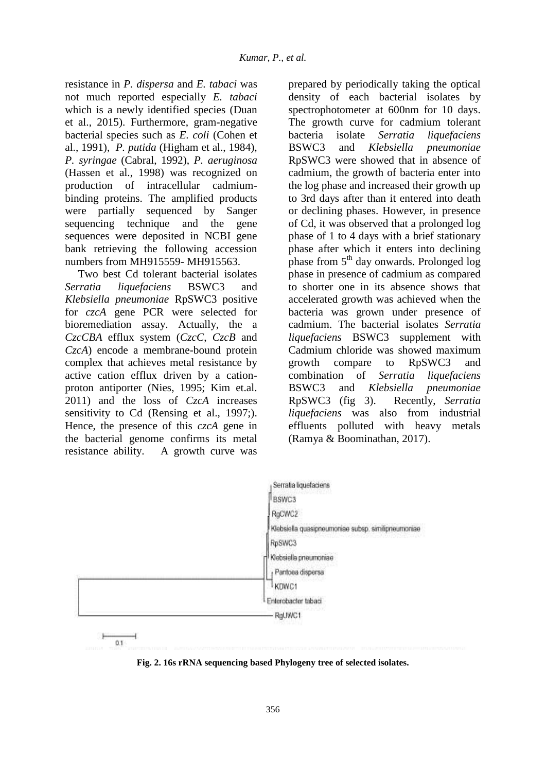resistance in *P. dispersa* and *E. tabaci* was not much reported especially *E. tabaci*  which is a newly identified species (Duan et al., 2015). Furthermore, gram-negative bacterial species such as *E. coli* (Cohen et al., 1991), *P. putida* (Higham et al., 1984), *P. syringae* (Cabral, 1992), *P. aeruginosa* (Hassen et al., 1998) was recognized on production of intracellular cadmiumbinding proteins. The amplified products were partially sequenced by Sanger sequencing technique and the gene sequences were deposited in NCBI gene bank retrieving the following accession numbers from MH915559- MH915563.

Two best Cd tolerant bacterial isolates *Serratia liquefaciens* BSWC3 and *Klebsiella pneumoniae* RpSWC3 positive for *czcA* gene PCR were selected for bioremediation assay. Actually, the a *CzcCBA* efflux system (*CzcC*, *CzcB* and *CzcA*) encode a membrane-bound protein complex that achieves metal resistance by active cation efflux driven by a cationproton antiporter (Nies, 1995; Kim et.al. 2011) and the loss of *CzcA* increases sensitivity to Cd (Rensing et al., 1997;). Hence, the presence of this *czcA* gene in the bacterial genome confirms its metal resistance ability. A growth curve was

prepared by periodically taking the optical density of each bacterial isolates by spectrophotometer at 600nm for 10 days. The growth curve for cadmium tolerant bacteria isolate *Serratia liquefaciens* BSWC3 and *Klebsiella pneumoniae* RpSWC3 were showed that in absence of cadmium, the growth of bacteria enter into the log phase and increased their growth up to 3rd days after than it entered into death or declining phases. However, in presence of Cd, it was observed that a prolonged log phase of 1 to 4 days with a brief stationary phase after which it enters into declining phase from  $5<sup>th</sup>$  day onwards. Prolonged log phase in presence of cadmium as compared to shorter one in its absence shows that accelerated growth was achieved when the bacteria was grown under presence of cadmium. The bacterial isolates *Serratia liquefaciens* BSWC3 supplement with Cadmium chloride was showed maximum growth compare to RpSWC3 and combination of *Serratia liquefaciens* BSWC3 and *Klebsiella pneumoniae* RpSWC3 (fig 3). Recently, *Serratia liquefaciens* was also from industrial effluents polluted with heavy metals (Ramya & Boominathan, 2017).



**Fig. 2. 16s rRNA sequencing based Phylogeny tree of selected isolates.**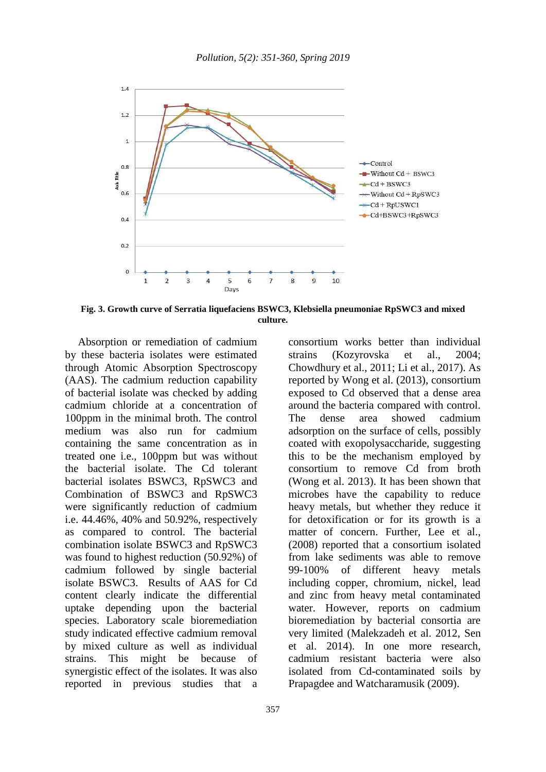

**Fig. 3. Growth curve of Serratia liquefaciens BSWC3, Klebsiella pneumoniae RpSWC3 and mixed culture.**

Absorption or remediation of cadmium by these bacteria isolates were estimated through Atomic Absorption Spectroscopy (AAS). The cadmium reduction capability of bacterial isolate was checked by adding cadmium chloride at a concentration of 100ppm in the minimal broth. The control medium was also run for cadmium containing the same concentration as in treated one i.e., 100ppm but was without the bacterial isolate. The Cd tolerant bacterial isolates BSWC3, RpSWC3 and Combination of BSWC3 and RpSWC3 were significantly reduction of cadmium i.e. 44.46%, 40% and 50.92%, respectively as compared to control. The bacterial combination isolate BSWC3 and RpSWC3 was found to highest reduction (50.92%) of cadmium followed by single bacterial isolate BSWC3. Results of AAS for Cd content clearly indicate the differential uptake depending upon the bacterial species. Laboratory scale bioremediation study indicated effective cadmium removal by mixed culture as well as individual strains. This might be because of synergistic effect of the isolates. It was also reported in previous studies that a

consortium works better than individual strains (Kozyrovska et al., 2004; Chowdhury et al., 2011; Li et al., 2017). As reported by Wong et al. (2013), consortium exposed to Cd observed that a dense area around the bacteria compared with control. The dense area showed cadmium adsorption on the surface of cells, possibly coated with exopolysaccharide, suggesting this to be the mechanism employed by consortium to remove Cd from broth (Wong et al. 2013). It has been shown that microbes have the capability to reduce heavy metals, but whether they reduce it for detoxification or for its growth is a matter of concern. Further, Lee et al., (2008) reported that a consortium isolated from lake sediments was able to remove 99-100% of different heavy metals including copper, chromium, nickel, lead and zinc from heavy metal contaminated water. However, reports on cadmium bioremediation by bacterial consortia are very limited (Malekzadeh et al. 2012, Sen et al. 2014). In one more research, cadmium resistant bacteria were also isolated from Cd-contaminated soils by Prapagdee and Watcharamusik (2009).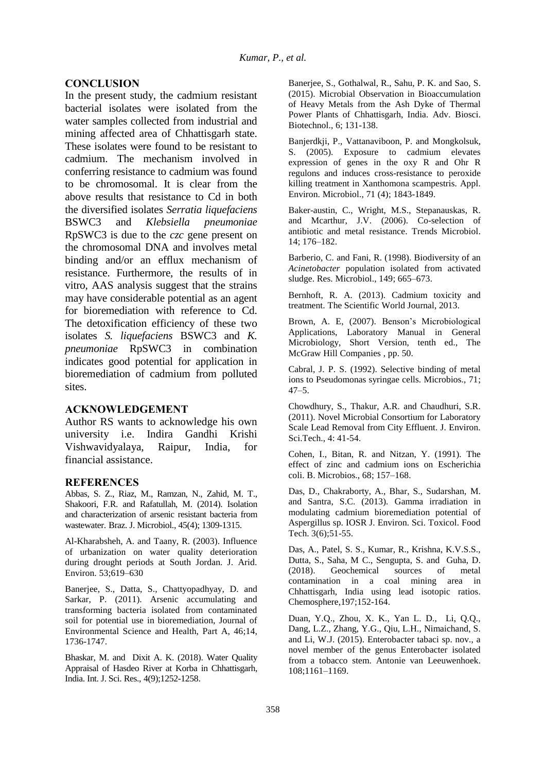## **CONCLUSION**

In the present study, the cadmium resistant bacterial isolates were isolated from the water samples collected from industrial and mining affected area of Chhattisgarh state. These isolates were found to be resistant to cadmium. The mechanism involved in conferring resistance to cadmium was found to be chromosomal. It is clear from the above results that resistance to Cd in both the diversified isolates *Serratia liquefaciens* BSWC3 and *Klebsiella pneumoniae* RpSWC3 is due to the *czc* gene present on the chromosomal DNA and involves metal binding and/or an efflux mechanism of resistance. Furthermore, the results of in vitro, AAS analysis suggest that the strains may have considerable potential as an agent for bioremediation with reference to Cd. The detoxification efficiency of these two isolates *S. liquefaciens* BSWC3 and *K. pneumoniae* RpSWC3 in combination indicates good potential for application in bioremediation of cadmium from polluted sites.

#### **ACKNOWLEDGEMENT**

Author RS wants to acknowledge his own university i.e. Indira Gandhi Krishi Vishwavidyalaya, Raipur, India, for financial assistance.

#### **REFERENCES**

Abbas, S. Z., Riaz, M., Ramzan, N., Zahid, M. T., Shakoori, F.R. and Rafatullah, M. (2014). Isolation and characterization of arsenic resistant bacteria from wastewater. Braz. J. Microbiol., 45(4); 1309-1315.

Al-Kharabsheh, A. and Taany, R. (2003). Influence of urbanization on water quality deterioration during drought periods at South Jordan. J. Arid. Environ. 53;619–630

Banerjee, S., Datta, S., Chattyopadhyay, D. and Sarkar, P. (2011). Arsenic accumulating and transforming bacteria isolated from contaminated soil for potential use in bioremediation, Journal of Environmental Science and Health, Part A, 46;14, 1736-1747.

Bhaskar, M. and Dixit A. K. (2018). Water Quality Appraisal of Hasdeo River at Korba in Chhattisgarh, India. Int. J. Sci. Res., 4(9);1252-1258.

Banerjee, S., Gothalwal, R., Sahu, P. K. and Sao, S. (2015). Microbial Observation in Bioaccumulation of Heavy Metals from the Ash Dyke of Thermal Power Plants of Chhattisgarh, India. Adv. Biosci. Biotechnol., 6; 131-138.

Banjerdkji, P., Vattanaviboon, P. and Mongkolsuk, S. (2005). Exposure to cadmium elevates expression of genes in the oxy R and Ohr R regulons and induces cross-resistance to peroxide killing treatment in Xanthomona scampestris. Appl. Environ. Microbiol., 71 (4); 1843-1849.

Baker-austin, C., Wright, M.S., Stepanauskas, R. and Mcarthur, J.V. (2006). Co-selection of antibiotic and metal resistance. Trends Microbiol. 14; 176–182.

Barberio, C. and Fani, R. (1998). Biodiversity of an *Acinetobacter* population isolated from activated sludge. Res. Microbiol., 149; 665–673.

Bernhoft, R. A. (2013). Cadmium toxicity and treatment. The Scientific World Journal, 2013.

Brown, A. E. (2007). Benson's Microbiological Applications, Laboratory Manual in General Microbiology, Short Version, tenth ed., The McGraw Hill Companies , pp. 50.

Cabral, J. P. S. (1992). Selective binding of metal ions to Pseudomonas syringae cells. Microbios., 71;  $47 - 5$ .

Chowdhury, S., Thakur, A.R. and Chaudhuri, S.R. (2011). Novel Microbial Consortium for Laboratory Scale Lead Removal from City Effluent. J. Environ. Sci.Tech., 4: 41-54.

Cohen, I., Bitan, R. and Nitzan, Y. (1991). The effect of zinc and cadmium ions on Escherichia coli. B. Microbios., 68; 157–168.

Das, D., Chakraborty, A., Bhar, S., Sudarshan, M. and Santra, S.C. (2013). Gamma irradiation in modulating cadmium bioremediation potential of Aspergillus sp. IOSR J. Environ. Sci. Toxicol. Food Tech. 3(6);51-55.

Das, A., Patel, S. S., Kumar, R., Krishna, K.V.S.S., Dutta, S., Saha, M C., Sengupta, S. and Guha, D. (2018). Geochemical sources of metal contamination in a coal mining area in Chhattisgarh, India using lead isotopic ratios. Chemosphere,197;152-164.

Duan, Y.Q., Zhou, X. K., Yan L. D., Li, Q.Q., Dang, L.Z., Zhang, Y.G., Qiu, L.H., Nimaichand, S. and Li, W.J. (2015). Enterobacter tabaci sp. nov., a novel member of the genus Enterobacter isolated from a tobacco stem. Antonie van Leeuwenhoek. 108;1161–1169.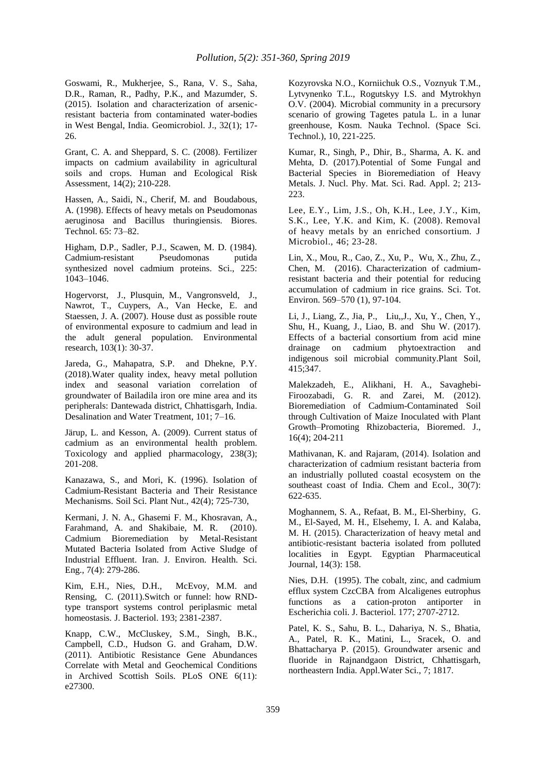Goswami, R., Mukherjee, S., Rana, V. S., Saha, D.R., Raman, R., Padhy, P.K., and Mazumder, S. (2015). Isolation and characterization of arsenicresistant bacteria from contaminated water-bodies in West Bengal, India. Geomicrobiol. J., 32(1); 17- 26.

Grant, C. A. and Sheppard, S. C. (2008). Fertilizer impacts on cadmium availability in agricultural soils and crops. Human and Ecological Risk Assessment, 14(2); 210-228.

Hassen, A., Saidi, N., Cherif, M. and Boudabous, A. (1998). Effects of heavy metals on Pseudomonas aeruginosa and Bacillus thuringiensis. Biores. Technol. 65: 73–82.

Higham, D.P., Sadler, P.J., Scawen, M. D. (1984). Cadmium-resistant Pseudomonas putida synthesized novel cadmium proteins. Sci., 225: 1043–1046.

Hogervorst, J., Plusquin, M., Vangronsveld, J., Nawrot, T., Cuypers, A., Van Hecke, E. and Staessen, J. A. (2007). House dust as possible route of environmental exposure to cadmium and lead in the adult general population. Environmental research, 103(1): 30-37.

Jareda, G., Mahapatra, S.P. and Dhekne, P.Y. (2018).Water quality index, heavy metal pollution index and seasonal variation correlation of groundwater of Bailadila iron ore mine area and its peripherals: Dantewada district, Chhattisgarh, India. Desalination and Water Treatment, 101; 7–16.

Järup, L. and Kesson, A. (2009). Current status of cadmium as an environmental health problem. Toxicology and applied pharmacology, 238(3); 201-208.

Kanazawa, S., and Mori, K. (1996). Isolation of Cadmium-Resistant Bacteria and Their Resistance Mechanisms. Soil Sci. Plant Nut., 42(4); 725-730,

Kermani, J. N. A., Ghasemi F. M., Khosravan, A., Farahmand, A. and Shakibaie, M. R. (2010). Cadmium Bioremediation by Metal-Resistant Mutated Bacteria Isolated from Active Sludge of Industrial Effluent. Iran. J. Environ. Health. Sci. Eng., 7(4): 279-286.

Kim, E.H., Nies, D.H., McEvoy, M.M. and Rensing, C. (2011).Switch or funnel: how RNDtype transport systems control periplasmic metal homeostasis. J. Bacteriol. 193; 2381-2387.

Knapp, C.W., McCluskey, S.M., Singh, B.K., Campbell, C.D., Hudson G. and Graham, D.W. (2011). Antibiotic Resistance Gene Abundances Correlate with Metal and Geochemical Conditions in Archived Scottish Soils. PLoS ONE 6(11): e27300.

Kozyrovska N.O., Korniichuk O.S., Voznyuk T.M., Lytvynenko T.L., Rogutskyy I.S. and Mytrokhyn O.V. (2004). Microbial community in a precursory scenario of growing Tagetes patula L. in a lunar greenhouse, Kosm. Nauka Technol. (Space Sci. Technol.), 10, 221-225.

Kumar, R., Singh, P., Dhir, B., Sharma, A. K. and Mehta, D. (2017).Potential of Some Fungal and Bacterial Species in Bioremediation of Heavy Metals. J. Nucl. Phy. Mat. Sci. Rad. Appl. 2; 213- 223.

Lee, E.Y., Lim, J.S., Oh, K.H., Lee, J.Y., Kim, S.K., Lee, Y.K. and Kim, K. (2008). Removal of heavy metals by an enriched consortium. J Microbiol., 46; 23-28.

Lin, X., Mou, R., Cao, Z., Xu, P., Wu, X., Zhu, Z., Chen, M. (2016). Characterization of cadmiumresistant bacteria and their potential for reducing accumulation of cadmium in rice grains. Sci. Tot. Environ. 569–570 (1), 97-104.

Li, J., Liang, Z., Jia, P., Liu,,J., Xu, Y., Chen, Y., Shu, H., Kuang, J., Liao, B. and Shu W. (2017). Effects of a bacterial consortium from acid mine drainage on cadmium phytoextraction and indigenous soil microbial community.Plant Soil, 415;347.

Malekzadeh, E., Alikhani, H. A., Savaghebi-Firoozabadi, G. R. and Zarei, M. (2012). Bioremediation of Cadmium-Contaminated Soil through Cultivation of Maize Inoculated with Plant Growth–Promoting Rhizobacteria, Bioremed. J., 16(4); 204-211

Mathivanan, K. and Rajaram, (2014). Isolation and characterization of cadmium resistant bacteria from an industrially polluted coastal ecosystem on the southeast coast of India. Chem and Ecol., 30(7): 622-635.

Moghannem, S. A., Refaat, B. M., El-Sherbiny, G. M., El-Sayed, M. H., Elsehemy, I. A. and Kalaba, M. H. (2015). Characterization of heavy metal and antibiotic-resistant bacteria isolated from polluted localities in Egypt. Egyptian Pharmaceutical Journal, 14(3): 158.

Nies, D.H. (1995). The cobalt, zinc, and cadmium efflux system CzcCBA from Alcaligenes eutrophus functions as a cation-proton antiporter in Escherichia coli. J. Bacteriol. 177; 2707-2712.

Patel, K. S., Sahu, B. L., Dahariya, N. S., Bhatia, A., Patel, R. K., Matini, L., Sracek, O. and Bhattacharya P. (2015). Groundwater arsenic and fluoride in Rajnandgaon District, Chhattisgarh, northeastern India. Appl.Water Sci., 7; 1817.